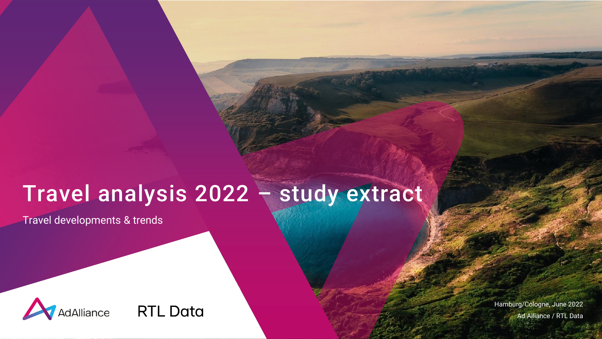# Travel analysis 2022 – study extract

Travel developments & trends



Hamburg/Cologne, June 2022 Ad Alliance / RTL Data

1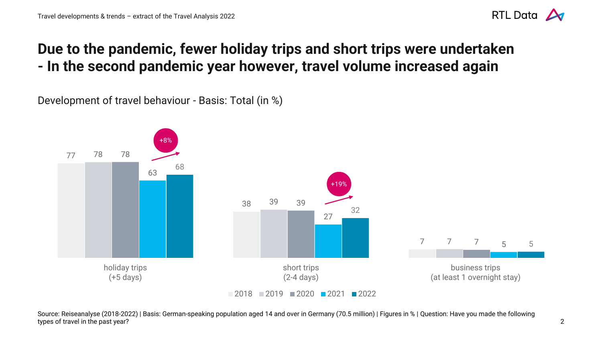

#### **Due to the pandemic, fewer holiday trips and short trips were undertaken - In the second pandemic year however, travel volume increased again**

Development of travel behaviour - Basis: Total (in %)



Source: Reiseanalyse (2018-2022) | Basis: German-speaking population aged 14 and over in Germany (70.5 million) | Figures in % | Question: Have you made the following types of travel in the past year? 2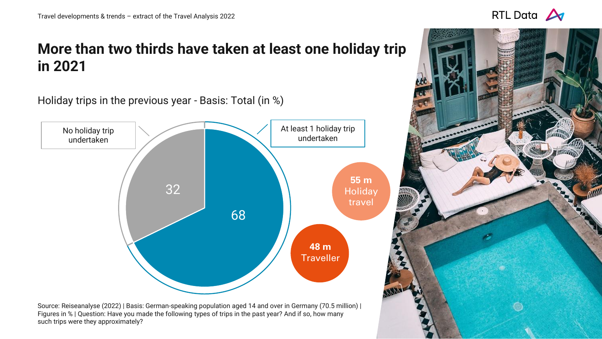## **More than two thirds have taken at least one holiday trip in 2021**

Holiday trips in the previous year - Basis: Total (in %)



Source: Reiseanalyse (2022) | Basis: German-speaking population aged 14 and over in Germany (70.5 million) | Figures in % | Question: Have you made the following types of trips in the past year? And if so, how many such trips were they approximately?



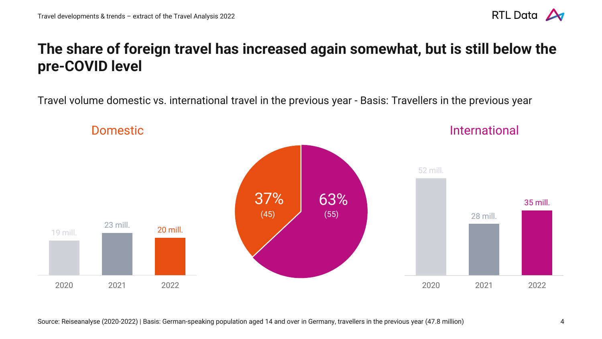

#### **The share of foreign travel has increased again somewhat, but is still below the pre-COVID level**

Travel volume domestic vs. international travel in the previous year - Basis: Travellers in the previous year

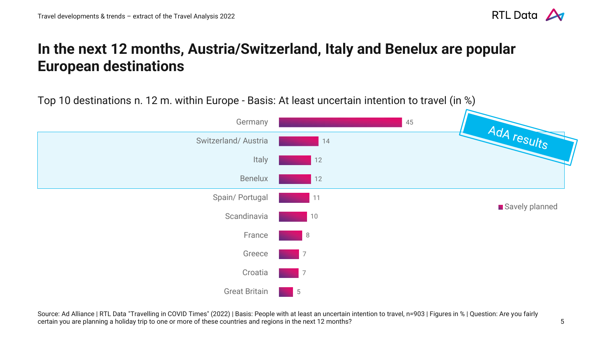

#### **In the next 12 months, Austria/Switzerland, Italy and Benelux are popular European destinations**

Top 10 destinations n. 12 m. within Europe - Basis: At least uncertain intention to travel (in %)



Source: Ad Alliance | RTL Data "Travelling in COVID Times" (2022) | Basis: People with at least an uncertain intention to travel, n=903 | Figures in % | Question: Are you fairly certain you are planning a holiday trip to one or more of these countries and regions in the next 12 months?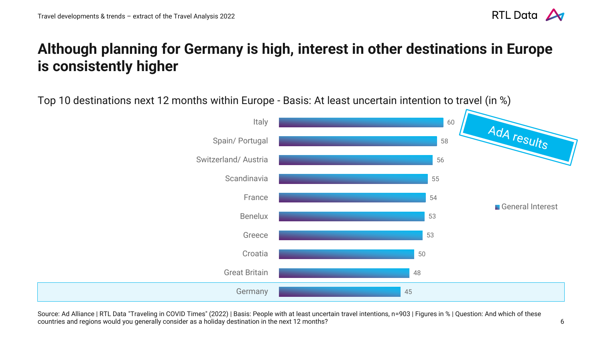

### **Although planning for Germany is high, interest in other destinations in Europe is consistently higher**

Top 10 destinations next 12 months within Europe - Basis: At least uncertain intention to travel (in %)



Source: Ad Alliance | RTL Data "Traveling in COVID Times" (2022) | Basis: People with at least uncertain travel intentions, n=903 | Figures in % | Question: And which of these countries and regions would you generally consider as a holiday destination in the next 12 months?